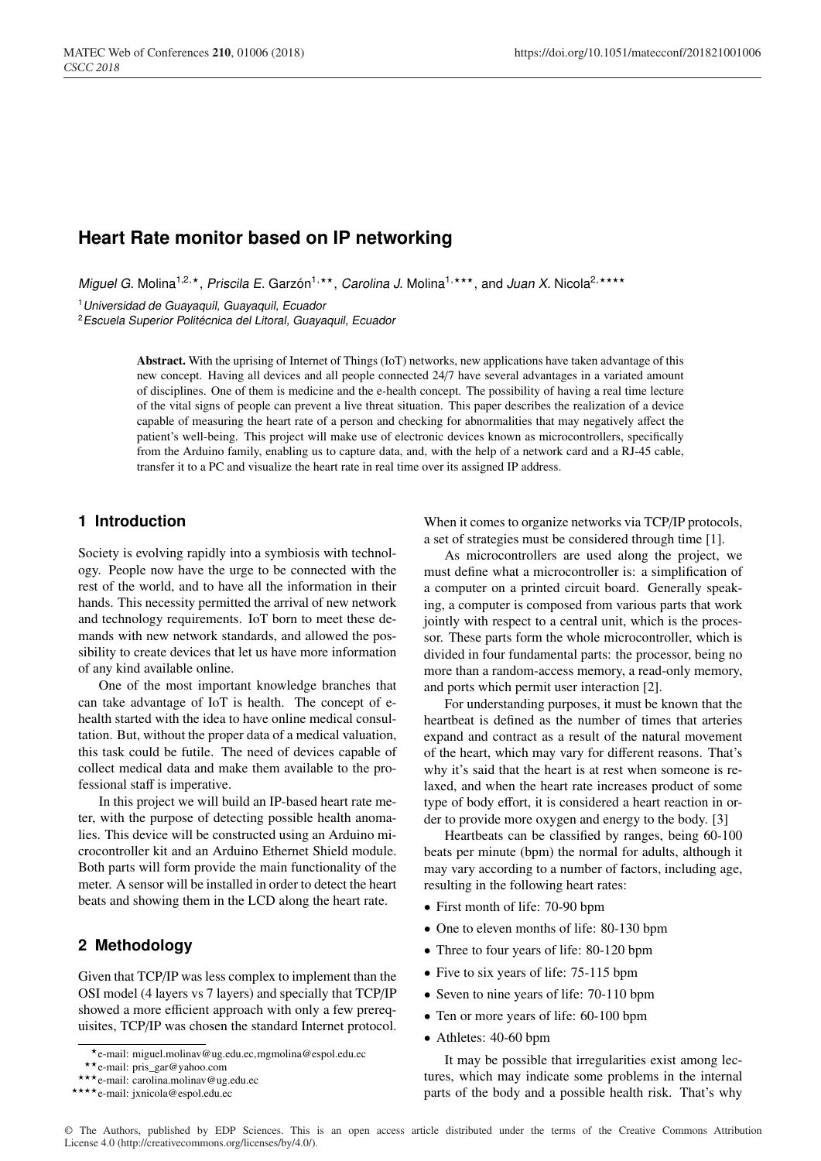# **Heart Rate monitor based on IP networking**

*Miguel G. Molina<sup>1,2,\*</sup>, Priscila E. Garzón<sup>1,\*\*</sup>, Carolina J. Molina<sup>1,\*\*\*</sup>, and <i>Juan X.* Nicola<sup>2,\*\*\*\*</sup>

<sup>1</sup>*Universidad de Guayaquil, Guayaquil, Ecuador*

<sup>2</sup>*Escuela Superior Politécnica del Litoral, Guayaquil, Ecuador*

Abstract. With the uprising of Internet of Things (IoT) networks, new applications have taken advantage of this new concept. Having all devices and all people connected 24/7 have several advantages in a variated amount of disciplines. One of them is medicine and the e-health concept. The possibility of having a real time lecture of the vital signs of people can prevent a live threat situation. This paper describes the realization of a device capable of measuring the heart rate of a person and checking for abnormalities that may negatively affect the patient's well-being. This project will make use of electronic devices known as microcontrollers, specifically from the Arduino family, enabling us to capture data, and, with the help of a network card and a RJ-45 cable, transfer it to a PC and visualize the heart rate in real time over its assigned IP address.

#### **1 Introduction**

Society is evolving rapidly into a symbiosis with technology. People now have the urge to be connected with the rest of the world, and to have all the information in their hands. This necessity permitted the arrival of new network and technology requirements. IoT born to meet these demands with new network standards, and allowed the possibility to create devices that let us have more information of any kind available online.

One of the most important knowledge branches that can take advantage of IoT is health. The concept of ehealth started with the idea to have online medical consultation. But, without the proper data of a medical valuation, this task could be futile. The need of devices capable of collect medical data and make them available to the professional staff is imperative.

In this project we will build an IP-based heart rate meter, with the purpose of detecting possible health anomalies. This device will be constructed using an Arduino microcontroller kit and an Arduino Ethernet Shield module. Both parts will form provide the main functionality of the meter. A sensor will be installed in order to detect the heart beats and showing them in the LCD along the heart rate.

### **2 Methodology**

Given that TCP/IP was less complex to implement than the OSI model (4 layers vs 7 layers) and specially that TCP/IP showed a more efficient approach with only a few prerequisites, TCP/IP was chosen the standard Internet protocol. When it comes to organize networks via TCP/IP protocols, a set of strategies must be considered through time [1].

As microcontrollers are used along the project, we must define what a microcontroller is: a simplification of a computer on a printed circuit board. Generally speaking, a computer is composed from various parts that work jointly with respect to a central unit, which is the processor. These parts form the whole microcontroller, which is divided in four fundamental parts: the processor, being no more than a random-access memory, a read-only memory, and ports which permit user interaction [2].

For understanding purposes, it must be known that the heartbeat is defined as the number of times that arteries expand and contract as a result of the natural movement of the heart, which may vary for different reasons. That's why it's said that the heart is at rest when someone is relaxed, and when the heart rate increases product of some type of body effort, it is considered a heart reaction in order to provide more oxygen and energy to the body. [3]

Heartbeats can be classified by ranges, being 60-100 beats per minute (bpm) the normal for adults, although it may vary according to a number of factors, including age, resulting in the following heart rates:

- First month of life: 70-90 bpm
- One to eleven months of life: 80-130 bpm
- Three to four years of life: 80-120 bpm
- Five to six years of life: 75-115 bpm
- Seven to nine years of life: 70-110 bpm
- Ten or more years of life: 60-100 bpm
- Athletes: 40-60 bpm

It may be possible that irregularities exist among lectures, which may indicate some problems in the internal parts of the body and a possible health risk. That's why

<sup>\*</sup>e-mail: miguel.molinav@ug.edu.ec,mgmolina@espol.edu.ec<br>\*\*e-mail: pris\_gar@yahoo.com<br>\*\*\*e-mail: carolina.molinav@ug.edu.ec<br>\*\*\*\*e-mail: jxnicola@espol.edu.ec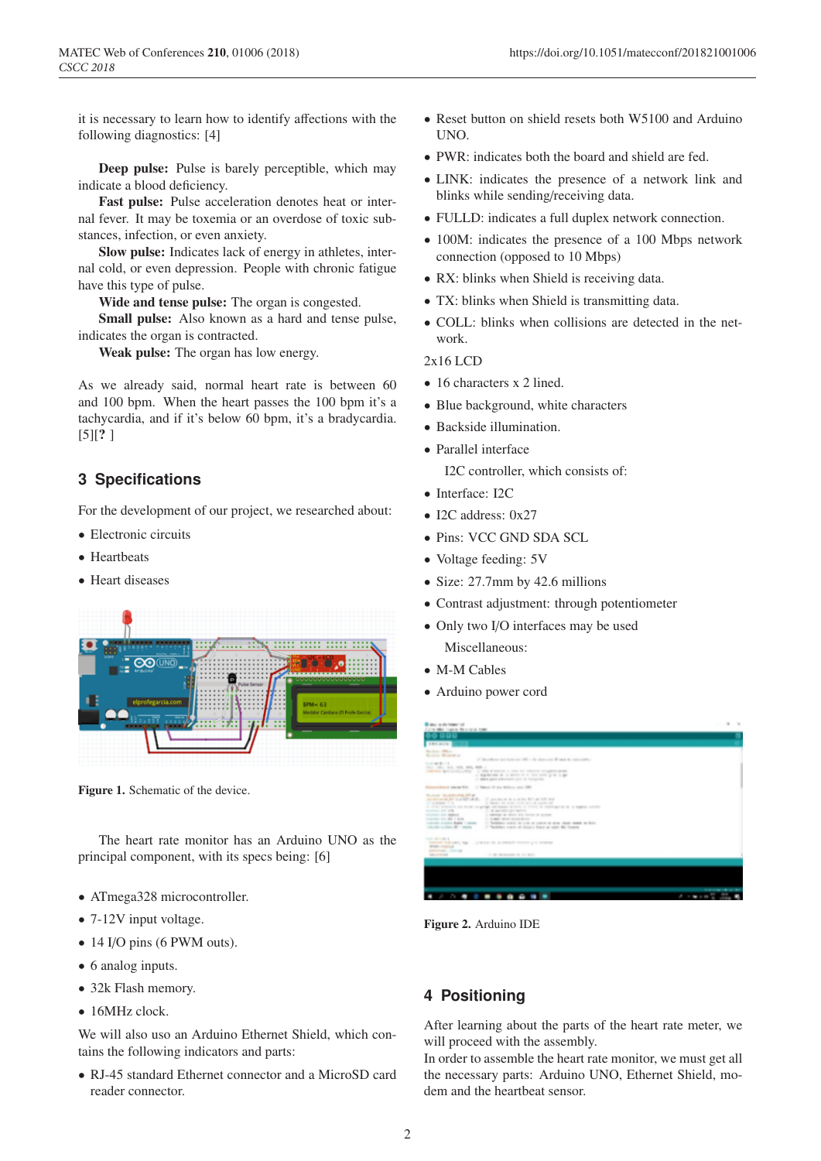it is necessary to learn how to identify affections with the following diagnostics: [4]

Deep pulse: Pulse is barely perceptible, which may indicate a blood deficiency.

Fast pulse: Pulse acceleration denotes heat or internal fever. It may be toxemia or an overdose of toxic substances, infection, or even anxiety.

Slow pulse: Indicates lack of energy in athletes, internal cold, or even depression. People with chronic fatigue have this type of pulse.

Wide and tense pulse: The organ is congested.

Small pulse: Also known as a hard and tense pulse, indicates the organ is contracted.

Weak pulse: The organ has low energy.

As we already said, normal heart rate is between 60 and 100 bpm. When the heart passes the 100 bpm it's a tachycardia, and if it's below 60 bpm, it's a bradycardia.  $[5]$ [?]

## **3 Specifications**

For the development of our project, we researched about:

- Electronic circuits
- Heartbeats
- Heart diseases



Figure 1. Schematic of the device.

The heart rate monitor has an Arduino UNO as the principal component, with its specs being: [6]

- ATmega328 microcontroller.
- 7-12V input voltage.
- 14 I/O pins (6 PWM outs).
- 6 analog inputs.
- 32k Flash memory.
- $\bullet$  16MHz clock.

We will also uso an Arduino Ethernet Shield, which contains the following indicators and parts:

• RJ-45 standard Ethernet connector and a MicroSD card reader connector.

- Reset button on shield resets both W5100 and Arduino UNO.
- PWR: indicates both the board and shield are fed.
- LINK: indicates the presence of a network link and blinks while sending/receiving data.
- FULLD: indicates a full duplex network connection.
- 100M: indicates the presence of a 100 Mbps network connection (opposed to 10 Mbps)
- RX: blinks when Shield is receiving data.
- TX: blinks when Shield is transmitting data.
- COLL: blinks when collisions are detected in the network.

2x16 LCD

- 16 characters x 2 lined.
- Blue background, white characters
- Backside illumination.
- Parallel interface

I2C controller, which consists of:

- Interface: I2C
- I2C address: 0x27
- Pins: VCC GND SDA SCL
- Voltage feeding: 5V
- Size: 27.7mm by 42.6 millions
- Contrast adjustment: through potentiometer
- Only two I/O interfaces may be used Miscellaneous:
- M-M Cables
- Arduino power cord

| <b>ERICHARTS</b><br>Rendered Military<br><b>Richard Montellan</b><br>of the collects and trade-star 1997 a fit alone-size 20 years to concern the<br>The contract of the second<br>CHARL CORR. CRIS, 1978, 1979, 1979 C.<br>A MOTOR BALLACTIC CORP. (1) THIS IS NOT ON 1992 TO THEFT IS COURTED TO ME.<br>With the set of the second of the set of the set of the set of the set of the set of the set of the set of the set of the set of the set of the set of the set of the set of the set of the set of the set of the set of<br>11 Million game commencer give all thompsons.<br>Advertising spon US - - - Direct E are deliver you (B)<br><b>Basical Grandmark MT at</b><br>monitorial by LAMCARD. If anyone is a suite for at \$9 Ad.<br>and go demands of the<br>21 Month, we will a contract and possible and<br>At their planners are stroke on goings are explored to courts in continuous an a segment consti-<br>SCANNER PRO SPEC<br>on the days states give agencies<br>MARKET STE HERITA<br>of the party streets and completely<br>transporter and deal in store<br>venturally conditions Radiate 1 statistics<br>of Thesistings control. As a cut- or colored on about thems complete the factor<br>valuable college \$6 - paints<br>If Redeller some all bount hand at more did from a<br>THE RESIDENT<br>PREMI REGIST, 185 - LINESE IN A FRIDAY FRONT LA SURVEY<br><b>START STATISTICS</b> | professionally to the transit<br><b>STEVE AT START</b><br>or an increasing on any pro- | Branch is old home that<br>Fulled Mile Country, New York, New |   | $\mathbf{u}$                                                                                                          |
|---------------------------------------------------------------------------------------------------------------------------------------------------------------------------------------------------------------------------------------------------------------------------------------------------------------------------------------------------------------------------------------------------------------------------------------------------------------------------------------------------------------------------------------------------------------------------------------------------------------------------------------------------------------------------------------------------------------------------------------------------------------------------------------------------------------------------------------------------------------------------------------------------------------------------------------------------------------------------------------------------------------------------------------------------------------------------------------------------------------------------------------------------------------------------------------------------------------------------------------------------------------------------------------------------------------------------------------------------------------------------------------------------------------|----------------------------------------------------------------------------------------|---------------------------------------------------------------|---|-----------------------------------------------------------------------------------------------------------------------|
|                                                                                                                                                                                                                                                                                                                                                                                                                                                                                                                                                                                                                                                                                                                                                                                                                                                                                                                                                                                                                                                                                                                                                                                                                                                                                                                                                                                                               |                                                                                        |                                                               |   |                                                                                                                       |
|                                                                                                                                                                                                                                                                                                                                                                                                                                                                                                                                                                                                                                                                                                                                                                                                                                                                                                                                                                                                                                                                                                                                                                                                                                                                                                                                                                                                               |                                                                                        |                                                               |   |                                                                                                                       |
|                                                                                                                                                                                                                                                                                                                                                                                                                                                                                                                                                                                                                                                                                                                                                                                                                                                                                                                                                                                                                                                                                                                                                                                                                                                                                                                                                                                                               |                                                                                        |                                                               |   |                                                                                                                       |
|                                                                                                                                                                                                                                                                                                                                                                                                                                                                                                                                                                                                                                                                                                                                                                                                                                                                                                                                                                                                                                                                                                                                                                                                                                                                                                                                                                                                               |                                                                                        |                                                               |   |                                                                                                                       |
|                                                                                                                                                                                                                                                                                                                                                                                                                                                                                                                                                                                                                                                                                                                                                                                                                                                                                                                                                                                                                                                                                                                                                                                                                                                                                                                                                                                                               |                                                                                        |                                                               |   |                                                                                                                       |
|                                                                                                                                                                                                                                                                                                                                                                                                                                                                                                                                                                                                                                                                                                                                                                                                                                                                                                                                                                                                                                                                                                                                                                                                                                                                                                                                                                                                               |                                                                                        |                                                               |   |                                                                                                                       |
|                                                                                                                                                                                                                                                                                                                                                                                                                                                                                                                                                                                                                                                                                                                                                                                                                                                                                                                                                                                                                                                                                                                                                                                                                                                                                                                                                                                                               |                                                                                        |                                                               |   |                                                                                                                       |
|                                                                                                                                                                                                                                                                                                                                                                                                                                                                                                                                                                                                                                                                                                                                                                                                                                                                                                                                                                                                                                                                                                                                                                                                                                                                                                                                                                                                               |                                                                                        |                                                               |   | <b>Scott of the College of the College of the College of the College of the College of the College of the College</b> |
|                                                                                                                                                                                                                                                                                                                                                                                                                                                                                                                                                                                                                                                                                                                                                                                                                                                                                                                                                                                                                                                                                                                                                                                                                                                                                                                                                                                                               |                                                                                        |                                                               | . | ٠                                                                                                                     |

Figure 2. Arduino IDE

## **4 Positioning**

After learning about the parts of the heart rate meter, we will proceed with the assembly.

In order to assemble the heart rate monitor, we must get all the necessary parts: Arduino UNO, Ethernet Shield, modem and the heartbeat sensor.